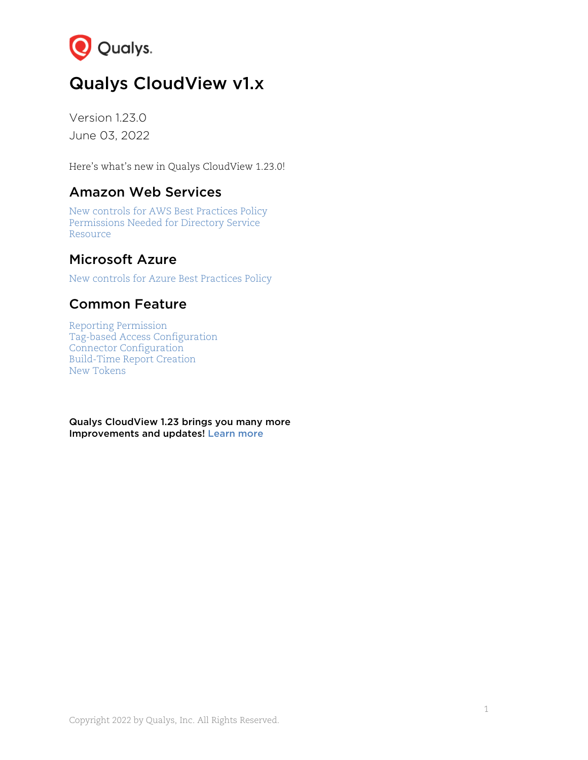

# Qualys CloudView v1.x

Version 1.23.0 June 03, 2022

Here's what's new in Qualys CloudView 1.23.0!

# Amazon Web Services

[New controls for AWS Best Practices](#page-1-0) Policy Permissions [Needed for Directory Service](#page-2-0)  Resource

# [Microsoft Azure](#page-2-1)

New controls for Azure Best Practices Policy

# [Common Featur](#page-4-0)e

[Reporting Permission](#page-4-1)  [Tag-based Access Configur](#page-5-0)ation [Connector Configuration](#page-6-0)  [Build-Time](#page-7-0) Report Creation New Tokens

Qualys CloudView 1.23 brin[gs you many](#page-7-1) more Improvements and updates! Learn more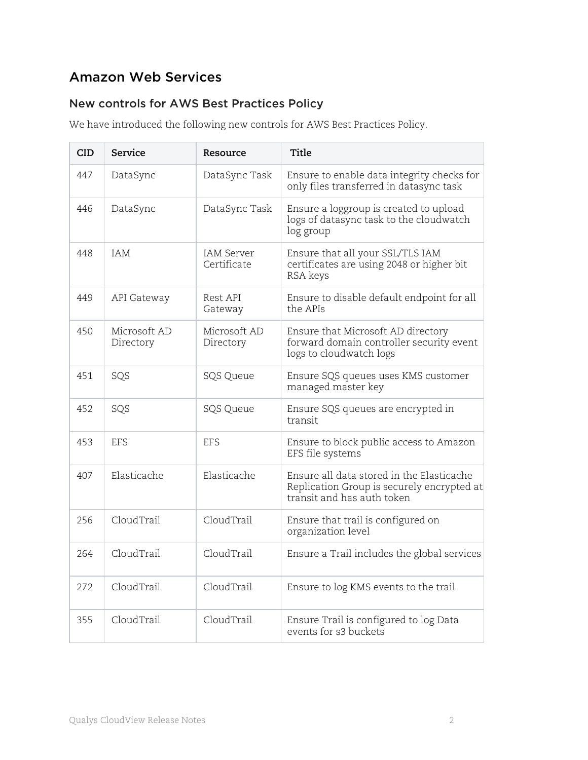# Amazon Web Services

## <span id="page-1-0"></span>New controls for AWS Best Practices Policy

We have introduced the following new controls for AWS Best Practices Policy.

| <b>CID</b> | Service                   | Resource                         | <b>Title</b>                                                                                                          |  |  |  |  |
|------------|---------------------------|----------------------------------|-----------------------------------------------------------------------------------------------------------------------|--|--|--|--|
| 447        | DataSync                  | DataSync Task                    | Ensure to enable data integrity checks for<br>only files transferred in datasync task                                 |  |  |  |  |
| 446        | DataSync                  | DataSync Task                    | Ensure a loggroup is created to upload<br>logs of datasync task to the cloudwatch<br>log group                        |  |  |  |  |
| 448        | IAM                       | <b>IAM Server</b><br>Certificate | Ensure that all your SSL/TLS IAM<br>certificates are using 2048 or higher bit<br>RSA keys                             |  |  |  |  |
| 449        | API Gateway               | Rest API<br>Gateway              | Ensure to disable default endpoint for all<br>the APIs                                                                |  |  |  |  |
| 450        | Microsoft AD<br>Directory | Microsoft AD<br>Directory        | Ensure that Microsoft AD directory<br>forward domain controller security event<br>logs to cloudwatch logs             |  |  |  |  |
| 451        | SQS                       | SQS Queue                        | Ensure SQS queues uses KMS customer<br>managed master key                                                             |  |  |  |  |
| 452        | SQS                       | SQS Queue                        | Ensure SQS queues are encrypted in<br>transit                                                                         |  |  |  |  |
| 453        | EFS                       | EFS                              | Ensure to block public access to Amazon<br>EFS file systems                                                           |  |  |  |  |
| 407        | Elasticache               | Elasticache                      | Ensure all data stored in the Elasticache<br>Replication Group is securely encrypted at<br>transit and has auth token |  |  |  |  |
| 256        | CloudTrail                | CloudTrail                       | Ensure that trail is configured on<br>organization level                                                              |  |  |  |  |
| 264        | CloudTrail                | CloudTrail                       | Ensure a Trail includes the global services                                                                           |  |  |  |  |
| 272        | CloudTrail                | CloudTrail                       | Ensure to log KMS events to the trail                                                                                 |  |  |  |  |
| 355        | CloudTrail                | CloudTrail                       | Ensure Trail is configured to log Data<br>events for s3 buckets                                                       |  |  |  |  |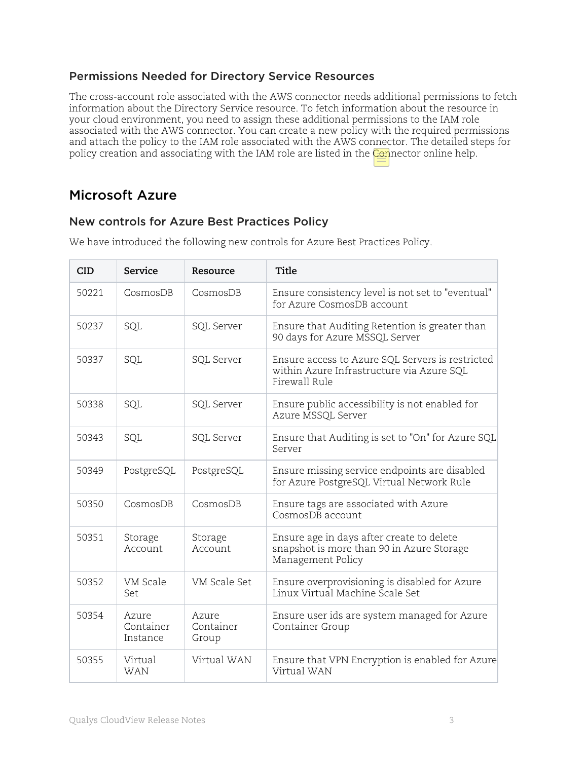#### <span id="page-2-0"></span>Permissions Needed for Directory Service Resources

The cross-account role associated with the AWS connector needs additional permissions to fetch information about the Directory Service resource. To fetch information about the resource in your cloud environment, you need to assign these additional permissions to the IAM role associated with the AWS connector. You can create a new policy with the required permissions and attach the policy to the IAM role associated with the AWS connector. The detailed steps for policy creation and associating with the IAM role are listed in the Connector online help.

# Microsoft Azure

#### <span id="page-2-1"></span>New controls for Azure Best Practices Policy

| <b>CID</b> | Service                        | Resource                    | Title                                                                                                          |
|------------|--------------------------------|-----------------------------|----------------------------------------------------------------------------------------------------------------|
| 50221      | CosmosDB                       | CosmosDB                    | Ensure consistency level is not set to "eventual"<br>for Azure CosmosDB account                                |
| 50237      | SQL                            | SQL Server                  | Ensure that Auditing Retention is greater than<br>90 days for Azure MSSQL Server                               |
| 50337      | SQL                            | SQL Server                  | Ensure access to Azure SQL Servers is restricted<br>within Azure Infrastructure via Azure SQL<br>Firewall Rule |
| 50338      | SQL                            | SQL Server                  | Ensure public accessibility is not enabled for<br>Azure MSSQL Server                                           |
| 50343      | SQL                            | SQL Server                  | Ensure that Auditing is set to "On" for Azure SQL<br>Server                                                    |
| 50349      | PostgreSQL                     | PostgreSQL                  | Ensure missing service endpoints are disabled<br>for Azure PostgreSQL Virtual Network Rule                     |
| 50350      | CosmosDB                       | CosmosDB                    | Ensure tags are associated with Azure<br>CosmosDB account                                                      |
| 50351      | Storage<br>Account             | Storage<br>Account          | Ensure age in days after create to delete<br>snapshot is more than 90 in Azure Storage<br>Management Policy    |
| 50352      | VM Scale<br>Set                | VM Scale Set                | Ensure overprovisioning is disabled for Azure<br>Linux Virtual Machine Scale Set                               |
| 50354      | Azure<br>Container<br>Instance | Azure<br>Container<br>Group | Ensure user ids are system managed for Azure<br>Container Group                                                |
| 50355      | Virtual<br><b>WAN</b>          | Virtual WAN                 | Ensure that VPN Encryption is enabled for Azure<br>Virtual WAN                                                 |

We have introduced the following new controls for Azure Best Practices Policy.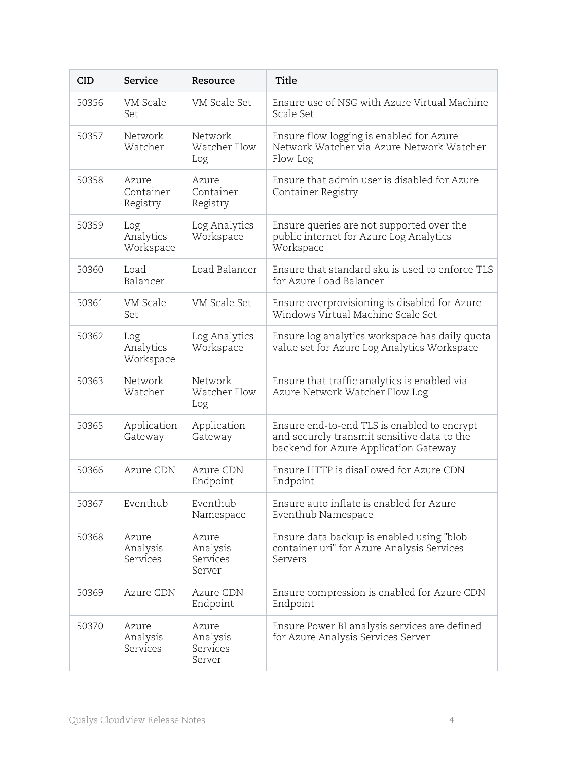| <b>CID</b> | Service                        | Resource                                | <b>Title</b>                                                                                                                        |
|------------|--------------------------------|-----------------------------------------|-------------------------------------------------------------------------------------------------------------------------------------|
| 50356      | VM Scale<br>Set                | VM Scale Set                            | Ensure use of NSG with Azure Virtual Machine<br>Scale Set                                                                           |
| 50357      | Network<br>Watcher             | Network<br>Watcher Flow<br>Log          | Ensure flow logging is enabled for Azure<br>Network Watcher via Azure Network Watcher<br>Flow Log                                   |
| 50358      | Azure<br>Container<br>Registry | Azure<br>Container<br>Registry          | Ensure that admin user is disabled for Azure<br>Container Registry                                                                  |
| 50359      | Log<br>Analytics<br>Workspace  | Log Analytics<br>Workspace              | Ensure queries are not supported over the<br>public internet for Azure Log Analytics<br>Workspace                                   |
| 50360      | Load<br>Balancer               | Load Balancer                           | Ensure that standard sku is used to enforce TLS<br>for Azure Load Balancer                                                          |
| 50361      | VM Scale<br>Set                | VM Scale Set                            | Ensure overprovisioning is disabled for Azure<br>Windows Virtual Machine Scale Set                                                  |
| 50362      | Log<br>Analytics<br>Workspace  | Log Analytics<br>Workspace              | Ensure log analytics workspace has daily quota<br>value set for Azure Log Analytics Workspace                                       |
| 50363      | Network<br>Watcher             | Network<br>Watcher Flow<br>Log          | Ensure that traffic analytics is enabled via<br>Azure Network Watcher Flow Log                                                      |
| 50365      | Application<br>Gateway         | Application<br>Gateway                  | Ensure end-to-end TLS is enabled to encrypt<br>and securely transmit sensitive data to the<br>backend for Azure Application Gateway |
| 50366      | Azure CDN                      | Azure CDN<br>Endpoint                   | Ensure HTTP is disallowed for Azure CDN<br>Endpoint                                                                                 |
| 50367      | Eventhub                       | Eventhub<br>Namespace                   | Ensure auto inflate is enabled for Azure<br>Eventhub Namespace                                                                      |
| 50368      | Azure<br>Analysis<br>Services  | Azure<br>Analysis<br>Services<br>Server | Ensure data backup is enabled using "blob<br>container uri" for Azure Analysis Services<br>Servers                                  |
| 50369      | Azure CDN                      | Azure CDN<br>Endpoint                   | Ensure compression is enabled for Azure CDN<br>Endpoint                                                                             |
| 50370      | Azure<br>Analysis<br>Services  | Azure<br>Analysis<br>Services<br>Server | Ensure Power BI analysis services are defined<br>for Azure Analysis Services Server                                                 |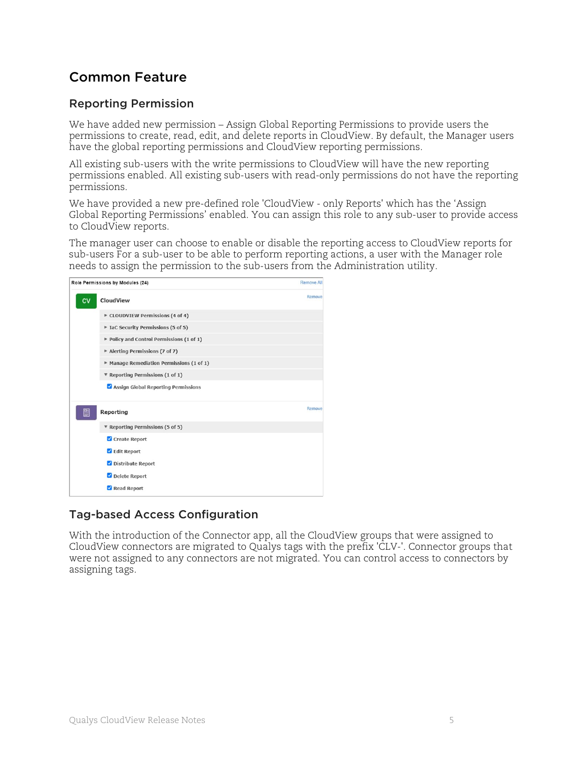# Common Feature

#### <span id="page-4-0"></span>Reporting Permission

We have added new permission – Assign Global Reporting Permissions to provide users the permissions to create, read, edit, and delete reports in CloudView. By default, the Manager users have the global reporting permissions and CloudView reporting permissions.

All existing sub-users with the write permissions to CloudView will have the new reporting permissions enabled. All existing sub-users with read-only permissions do not have the reporting permissions.

We have provided a new pre-defined role 'CloudView - only Reports' which has the 'Assign Global Reporting Permissions' enabled. You can assign this role to any sub-user to provide access to CloudView reports.

The manager user can choose to enable or disable the reporting access to CloudView reports for sub-users For a sub-user to be able to perform reporting actions, a user with the Manager role needs to assign the permission to the sub-users from the Administration utility.



### <span id="page-4-1"></span>Tag-based Access Configuration

With the introduction of the Connector app, all the CloudView groups that were assigned to CloudView connectors are migrated to Qualys tags with the prefix 'CLV-'. Connector groups that were not assigned to any connectors are not migrated. You can control access to connectors by assigning tags.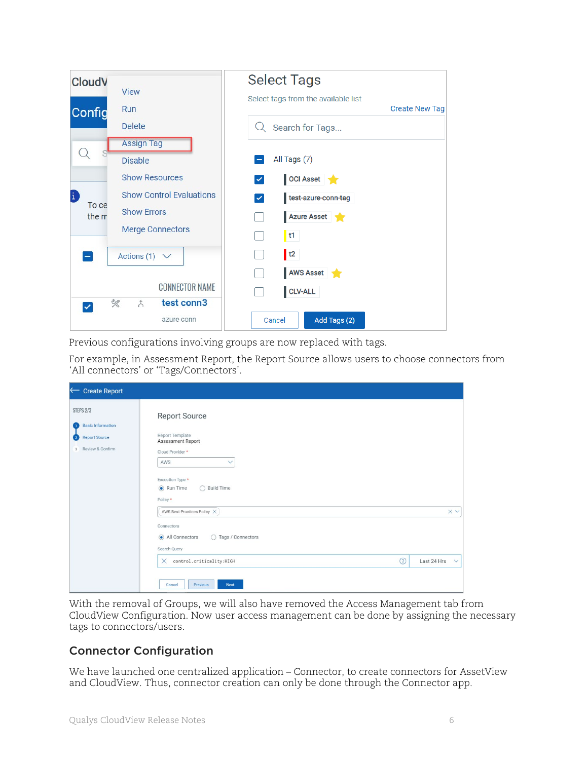| <b>CloudV</b> |                                 | <b>Select Tags</b>                  |
|---------------|---------------------------------|-------------------------------------|
|               | <b>View</b>                     | Select tags from the available list |
| Config        | Run                             | <b>Create New Tag</b>               |
|               | <b>Delete</b>                   | Search for Tags                     |
|               | <b>Assign Tag</b>               |                                     |
|               | <b>Disable</b>                  | All Tags (7)                        |
|               | <b>Show Resources</b>           | OCI Asset<br>$\checkmark$           |
| £<br>To ce    | <b>Show Control Evaluations</b> | test-azure-conn-tag<br>$\checkmark$ |
| the m         | <b>Show Errors</b>              | Azure Asset                         |
|               | <b>Merge Connectors</b>         | $\vert$ t1                          |
|               | Actions (1) $\vee$              | $\vert$ t2                          |
|               |                                 | AWS Asset                           |
|               | <b>CONNECTOR NAME</b>           | CLV-ALL                             |
|               | R<br>test conn3<br>$\lambda$    |                                     |
|               | azure conn                      | Add Tags (2)<br>Cancel              |

Previous configurations involving groups are now replaced with tags.

For example, in Assessment Report, the Report Source allows users to choose connectors from 'All connectors' or 'Tags/Connectors'.

| <b>Create Report</b><br>$\leftarrow$                                                                            |                                                                                                                             |                   |
|-----------------------------------------------------------------------------------------------------------------|-----------------------------------------------------------------------------------------------------------------------------|-------------------|
| <b>STEPS 2/3</b><br><b>Basic Information</b><br>$\mathbf{1}$<br><b>Report Source</b><br>Ø<br>3 Review & Confirm | <b>Report Source</b><br>Report Template<br>Assessment Report<br>Cloud Provider *<br>AWS<br>$\checkmark$<br>Execution Type * |                   |
|                                                                                                                 | $\odot$ Run Time<br>$\bigcap$ Build Time<br>Policy *                                                                        |                   |
|                                                                                                                 | AWS Best Practices Policy $\,\mathord{\times}\,$                                                                            | $\times$ $\times$ |
|                                                                                                                 | Connectors<br>All Connectors<br>◯ Tags / Connectors<br>Search Query                                                         |                   |
|                                                                                                                 | $\odot$<br>control.criticality:HIGH<br>Last 24 Hrs<br>$\times$                                                              | $\checkmark$      |
|                                                                                                                 | Cancel<br>Previous<br><b>Next</b>                                                                                           |                   |

With the removal of Groups, we will also have removed the Access Management tab from CloudView Configuration. Now user access management can be done by assigning the necessary tags to connectors/users.

#### <span id="page-5-0"></span>Connector Configuration

We have launched one centralized application – Connector, to create connectors for AssetView and CloudView. Thus, connector creation can only be done through the Connector app.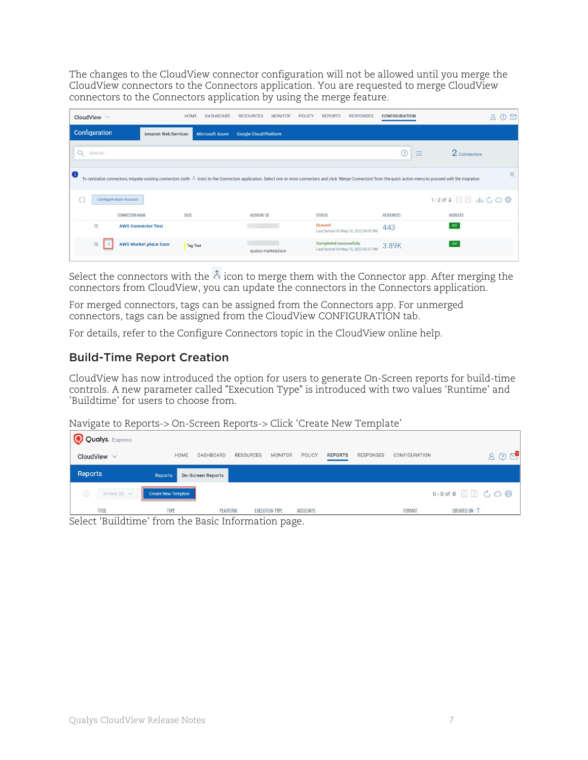The changes to the CloudView connector configuration will not be allowed until you merge the CloudView connectors to the Connectors application. You are requested to merge CloudView connectors to the Connectors application by using the merge feature.

| CloudView $\vee$       | HOME                                            | DASHBOARD<br><b>RESOURCES</b> | <b>MONITOR</b>               | POLICY<br><b>REPORTS</b> | <b>RESPONSES</b><br>CONFIGURATION             |                                                                                                                                                                                                                               | $\triangleright$<br>(2) |
|------------------------|-------------------------------------------------|-------------------------------|------------------------------|--------------------------|-----------------------------------------------|-------------------------------------------------------------------------------------------------------------------------------------------------------------------------------------------------------------------------------|-------------------------|
| Configuration          | Amazon Web Services                             | Microsoft Azure               | <b>Google Cloud Platform</b> |                          |                                               |                                                                                                                                                                                                                               |                         |
| Q<br>Search            |                                                 |                               |                              |                          | ℗                                             | 2 Connectors<br>$\frac{1}{2}$<br>$\frac{1}{2}$<br>--                                                                                                                                                                          |                         |
| $\bullet$              |                                                 |                               |                              |                          |                                               | To centralize connectors, migrate existing connectors (with $\land$ icon) to the Connectors application. Select one or more connectors and click 'Merge Connectors' from the quick action menu to proceed with the migration. | ×                       |
| Configure Base Account |                                                 |                               |                              |                          |                                               | 1-2 of 2 3 3 上 C 〇 @                                                                                                                                                                                                          |                         |
| CONNECTOR NAME         | TAGS                                            |                               | ACCOUNT ID                   | <b>STATUS</b>            | <b>RESOURCES</b>                              | MODULES                                                                                                                                                                                                                       |                         |
| 欠                      | <b>AWS Connector Test</b>                       |                               |                              | Queued                   | 443<br>Last Synced On May 10, 2022 04:03 PM   | CV                                                                                                                                                                                                                            |                         |
| ※   人                  | <b>AWS Market place Conr</b><br><b>Tag Test</b> |                               | qualys-marketplace           | Completed successfully   | 3.89K<br>Last Synced On May 10, 2022 05:21 PM | CV                                                                                                                                                                                                                            |                         |

Select the connectors with the  $\hat{\Delta}$  icon to merge them with the Connector app. After merging the connectors from CloudView, you can update the connectors in the Connectors application.

For merged connectors, tags can be assigned from the Connectors app. For unmerged connectors, tags can be assigned from the CloudView CONFIGURATION tab.

For details, refer to the Configure Connectors topic in the CloudView online help.

#### <span id="page-6-0"></span>Build-Time Report Creation

CloudView has now introduced the option for users to generate On-Screen reports for build-time controls. A new parameter called "Execution Type" is introduced with two values 'Runtime' and 'Buildtime' for users to choose from.

Navigate to Reports-> On-Screen Reports-> Click 'Create New Template'

| <b>Qualys.</b> Express                                     |                            |                          |                  |                       |                 |                |                  |                      |                        |
|------------------------------------------------------------|----------------------------|--------------------------|------------------|-----------------------|-----------------|----------------|------------------|----------------------|------------------------|
| CloudView $\vee$                                           | HOME                       | <b>DASHBOARD</b>         | <b>RESOURCES</b> | <b>MONITOR</b>        | <b>POLICY</b>   | <b>REPORTS</b> | <b>RESPONSES</b> | <b>CONFIGURATION</b> | $\triangleright$<br>8Q |
| Reports                                                    | <b>Reports</b>             | <b>On-Screen Reports</b> |                  |                       |                 |                |                  |                      |                        |
| $\Box$<br>Actions $(0)$ $\vee$                             | <b>Create New Template</b> |                          |                  |                       |                 |                |                  |                      | 0-0 of 0 3 3 C C @     |
| TITLE<br>Coloot Duildtime" from the Desig Information page | <b>TYPE</b>                | <b>PLATFORM</b>          |                  | <b>EXECUTION TYPE</b> | <b>ACCOUNTS</b> |                |                  | <b>FORMAT</b>        | CREATED ON 1           |

Select 'Buildtime' from the Basic Information page.